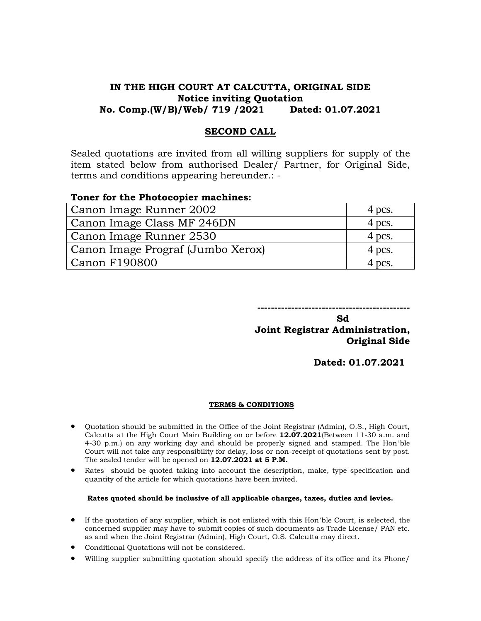# **IN THE HIGH COURT AT CALCUTTA, ORIGINAL SIDE Notice inviting Quotation No. Comp.(W/B)/Web/ 719 /2021 Dated: 01.07.2021**

## **SECOND CALL**

Sealed quotations are invited from all willing suppliers for supply of the item stated below from authorised Dealer/ Partner, for Original Side, terms and conditions appearing hereunder.: -

### **Toner for the Photocopier machines:**

| Canon Image Runner 2002           | 4 pcs. |
|-----------------------------------|--------|
| Canon Image Class MF 246DN        | 4 pcs. |
| Canon Image Runner 2530           | 4 pcs. |
| Canon Image Prograf (Jumbo Xerox) | 4 pcs. |
| <b>Canon F190800</b>              | 4 pcs. |

**---------------------------------------------**

**Sd** Samuel Contract of the Society of the Society of the Society of the Society of the Society of the Society of the Society of the Society of the Society of the Society of the Society of the Society of the Society of the **Joint Registrar Administration, Original Side** 

**Dated: 01.07.2021**

### **TERMS & CONDITIONS**

- Quotation should be submitted in the Office of the Joint Registrar (Admin), O.S., High Court, Calcutta at the High Court Main Building on or before **12.07.2021**(Between 11-30 a.m. and 4-30 p.m.) on any working day and should be properly signed and stamped. The Hon'ble Court will not take any responsibility for delay, loss or non-receipt of quotations sent by post. The sealed tender will be opened on **12.07.2021 at 5 P.M.**
- Rates should be quoted taking into account the description, make, type specification and quantity of the article for which quotations have been invited.

### **Rates quoted should be inclusive of all applicable charges, taxes, duties and levies.**

- If the quotation of any supplier, which is not enlisted with this Hon'ble Court, is selected, the concerned supplier may have to submit copies of such documents as Trade License/ PAN etc. as and when the Joint Registrar (Admin), High Court, O.S. Calcutta may direct.
- Conditional Quotations will not be considered.
- Willing supplier submitting quotation should specify the address of its office and its Phone/